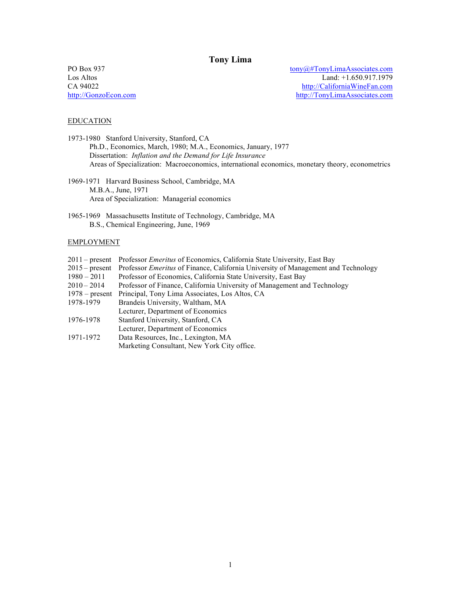# **Tony Lima**

PO Box 937 tony $\overline{O}$ #TonyLimaAssociates.com Los Altos Land: +1.650.917.1979 CA 94022 <http://CaliforniaWineFan.com> <http://GonzoEcon.com> <http://TonyLimaAssociates.com>

# EDUCATION

1973-1980 Stanford University, Stanford, CA Ph.D., Economics, March, 1980; M.A., Economics, January, 1977 Dissertation: *Inflation and the Demand for Life Insurance* Areas of Specialization: Macroeconomics, international economics, monetary theory, econometrics

- 1969-1971 Harvard Business School, Cambridge, MA M.B.A., June, 1971 Area of Specialization: Managerial economics
- 1965-1969 Massachusetts Institute of Technology, Cambridge, MA B.S., Chemical Engineering, June, 1969

#### EMPLOYMENT

|                  | 2011 – present Professor <i>Emeritus</i> of Economics, California State University, East Bay |
|------------------|----------------------------------------------------------------------------------------------|
| $2015 -$ present | Professor <i>Emeritus</i> of Finance, California University of Management and Technology     |
| $1980 - 2011$    | Professor of Economics, California State University, East Bay                                |
| 2010 – 2014      | Professor of Finance, California University of Management and Technology                     |
|                  | 1978 – present Principal, Tony Lima Associates, Los Altos, CA                                |
| 1978-1979        | Brandeis University, Waltham, MA                                                             |
|                  | Lecturer, Department of Economics                                                            |
| 1976-1978        | Stanford University, Stanford, CA                                                            |
|                  | Lecturer, Department of Economics                                                            |
| 1971-1972        | Data Resources, Inc., Lexington, MA                                                          |
|                  | Marketing Consultant, New York City office.                                                  |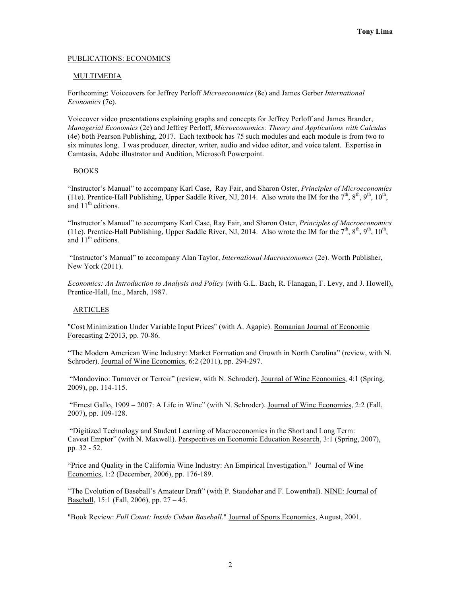### PUBLICATIONS: ECONOMICS

#### MULTIMEDIA

Forthcoming: Voiceovers for Jeffrey Perloff *Microeconomics* (8e) and James Gerber *International Economics* (7e).

Voiceover video presentations explaining graphs and concepts for Jeffrey Perloff and James Brander, *Managerial Economics* (2e) and Jeffrey Perloff, *Microeconomics: Theory and Applications with Calculus* (4e) both Pearson Publishing, 2017. Each textbook has 75 such modules and each module is from two to six minutes long. I was producer, director, writer, audio and video editor, and voice talent. Expertise in Camtasia, Adobe illustrator and Audition, Microsoft Powerpoint.

## BOOKS

"Instructor's Manual" to accompany Karl Case, Ray Fair, and Sharon Oster, *Principles of Microeconomics* (11e). Prentice-Hall Publishing, Upper Saddle River, NJ, 2014. Also wrote the IM for the  $7<sup>th</sup>$ ,  $8<sup>th</sup>$ ,  $9<sup>th</sup>$ ,  $10<sup>th</sup>$ , and  $11<sup>th</sup>$  editions.

"Instructor's Manual" to accompany Karl Case, Ray Fair, and Sharon Oster, *Principles of Macroeconomics* (11e). Prentice-Hall Publishing, Upper Saddle River, NJ, 2014. Also wrote the IM for the  $7<sup>th</sup>$ ,  $8<sup>th</sup>$ ,  $9<sup>th</sup>$ ,  $10<sup>th</sup>$ , and  $11<sup>th</sup>$  editions.

"Instructor's Manual" to accompany Alan Taylor, *International Macroeconomcs* (2e). Worth Publisher, New York (2011).

*Economics: An Introduction to Analysis and Policy* (with G.L. Bach, R. Flanagan, F. Levy, and J. Howell), Prentice-Hall, Inc., March, 1987.

### ARTICLES

"Cost Minimization Under Variable Input Prices" (with A. Agapie). Romanian Journal of Economic Forecasting 2/2013, pp. 70-86.

"The Modern American Wine Industry: Market Formation and Growth in North Carolina" (review, with N. Schroder). Journal of Wine Economics, 6:2 (2011), pp. 294-297.

"Mondovino: Turnover or Terroir" (review, with N. Schroder). Journal of Wine Economics, 4:1 (Spring, 2009), pp. 114-115.

"Ernest Gallo, 1909 – 2007: A Life in Wine" (with N. Schroder). Journal of Wine Economics, 2:2 (Fall, 2007), pp. 109-128.

"Digitized Technology and Student Learning of Macroeconomics in the Short and Long Term: Caveat Emptor" (with N. Maxwell). Perspectives on Economic Education Research, 3:1 (Spring, 2007), pp. 32 - 52.

"Price and Quality in the California Wine Industry: An Empirical Investigation." Journal of Wine Economics, 1:2 (December, 2006), pp. 176-189.

"The Evolution of Baseball's Amateur Draft" (with P. Staudohar and F. Lowenthal). NINE: Journal of Baseball, 15:1 (Fall, 2006), pp. 27 – 45.

"Book Review: *Full Count: Inside Cuban Baseball*." Journal of Sports Economics, August, 2001.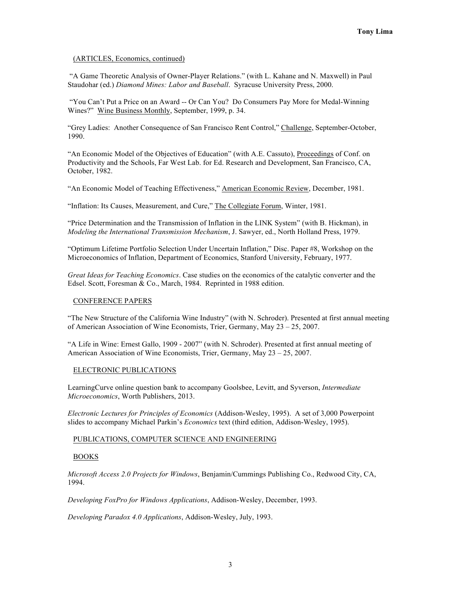## (ARTICLES, Economics, continued)

"A Game Theoretic Analysis of Owner-Player Relations." (with L. Kahane and N. Maxwell) in Paul Staudohar (ed.) *Diamond Mines: Labor and Baseball*. Syracuse University Press, 2000.

"You Can't Put a Price on an Award -- Or Can You? Do Consumers Pay More for Medal-Winning Wines?" Wine Business Monthly, September, 1999, p. 34.

"Grey Ladies: Another Consequence of San Francisco Rent Control," Challenge, September-October, 1990.

"An Economic Model of the Objectives of Education" (with A.E. Cassuto), Proceedings of Conf. on Productivity and the Schools, Far West Lab. for Ed. Research and Development, San Francisco, CA, October, 1982.

"An Economic Model of Teaching Effectiveness," American Economic Review, December, 1981.

"Inflation: Its Causes, Measurement, and Cure," The Collegiate Forum, Winter, 1981.

"Price Determination and the Transmission of Inflation in the LINK System" (with B. Hickman), in *Modeling the International Transmission Mechanism*, J. Sawyer, ed., North Holland Press, 1979.

"Optimum Lifetime Portfolio Selection Under Uncertain Inflation," Disc. Paper #8, Workshop on the Microeconomics of Inflation, Department of Economics, Stanford University, February, 1977.

*Great Ideas for Teaching Economics*. Case studies on the economics of the catalytic converter and the Edsel. Scott, Foresman & Co., March, 1984. Reprinted in 1988 edition.

#### CONFERENCE PAPERS

"The New Structure of the California Wine Industry" (with N. Schroder). Presented at first annual meeting of American Association of Wine Economists, Trier, Germany, May 23 – 25, 2007.

"A Life in Wine: Ernest Gallo, 1909 - 2007" (with N. Schroder). Presented at first annual meeting of American Association of Wine Economists, Trier, Germany, May 23 – 25, 2007.

#### ELECTRONIC PUBLICATIONS

LearningCurve online question bank to accompany Goolsbee, Levitt, and Syverson, *Intermediate Microeconomics*, Worth Publishers, 2013.

*Electronic Lectures for Principles of Economics* (Addison-Wesley, 1995). A set of 3,000 Powerpoint slides to accompany Michael Parkin's *Economics* text (third edition, Addison-Wesley, 1995).

### PUBLICATIONS, COMPUTER SCIENCE AND ENGINEERING

#### BOOKS

*Microsoft Access 2.0 Projects for Windows*, Benjamin/Cummings Publishing Co., Redwood City, CA, 1994.

*Developing FoxPro for Windows Applications*, Addison-Wesley, December, 1993.

*Developing Paradox 4.0 Applications*, Addison-Wesley, July, 1993.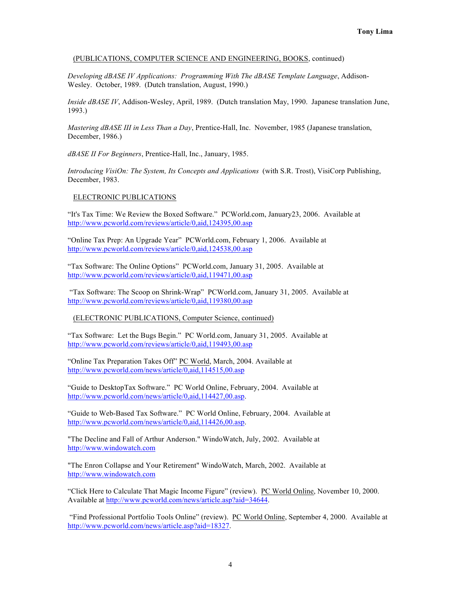## (PUBLICATIONS, COMPUTER SCIENCE AND ENGINEERING, BOOKS, continued)

*Developing dBASE IV Applications: Programming With The dBASE Template Language*, Addison-Wesley. October, 1989. (Dutch translation, August, 1990.)

*Inside dBASE IV*, Addison-Wesley, April, 1989. (Dutch translation May, 1990. Japanese translation June, 1993.)

*Mastering dBASE III in Less Than a Day*, Prentice-Hall, Inc. November, 1985 (Japanese translation, December, 1986.)

*dBASE II For Beginners*, Prentice-Hall, Inc., January, 1985.

*Introducing VisiOn: The System, Its Concepts and Applications* (with S.R. Trost), VisiCorp Publishing, December, 1983.

#### ELECTRONIC PUBLICATIONS

"It's Tax Time: We Review the Boxed Software." PCWorld.com, January23, 2006. Available at <http://www.pcworld.com/reviews/article/0,aid,124395,00.asp>

"Online Tax Prep: An Upgrade Year" PCWorld.com, February 1, 2006. Available at <http://www.pcworld.com/reviews/article/0,aid,124538,00.asp>

"Tax Software: The Online Options" PCWorld.com, January 31, 2005. Available at <http://www.pcworld.com/reviews/article/0,aid,119471,00.asp>

"Tax Software: The Scoop on Shrink-Wrap" PCWorld.com, January 31, 2005. Available at <http://www.pcworld.com/reviews/article/0,aid,119380,00.asp>

(ELECTRONIC PUBLICATIONS, Computer Science, continued)

"Tax Software: Let the Bugs Begin." PC World.com, January 31, 2005. Available at <http://www.pcworld.com/reviews/article/0,aid,119493,00.asp>

"Online Tax Preparation Takes Off" PC World, March, 2004. Available at <http://www.pcworld.com/news/article/0,aid,114515,00.asp>

"Guide to DesktopTax Software." PC World Online, February, 2004. Available at <http://www.pcworld.com/news/article/0,aid,114427,00.asp>.

"Guide to Web-Based Tax Software." PC World Online, February, 2004. Available at <http://www.pcworld.com/news/article/0,aid,114426,00.asp>.

"The Decline and Fall of Arthur Anderson." WindoWatch, July, 2002. Available at [http://www.windowatch.com](http://www.windowatch.com/)

"The Enron Collapse and Your Retirement" WindoWatch, March, 2002. Available at [http://www.windowatch.com](http://www.windowatch.com/)

"Click Here to Calculate That Magic Income Figure" (review). PC World Online, November 10, 2000. Available at [http://www.pcworld.com/news/article.asp?aid=34644.](http://www.pcworld.com/news/article.asp?aid=34644)

"Find Professional Portfolio Tools Online" (review). PC World Online, September 4, 2000. Available at <http://www.pcworld.com/news/article.asp?aid=18327>.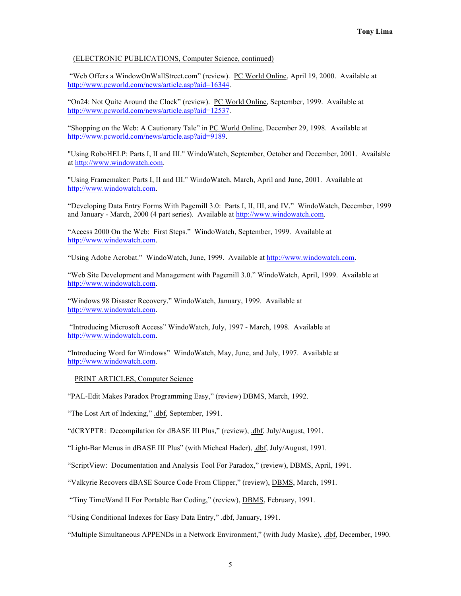# (ELECTRONIC PUBLICATIONS, Computer Science, continued)

"Web Offers a WindowOnWallStreet.com" (review). PC World Online, April 19, 2000. Available at <http://www.pcworld.com/news/article.asp?aid=16344>.

"On24: Not Quite Around the Clock" (review). PC World Online, September, 1999. Available at <http://www.pcworld.com/news/article.asp?aid=12537>.

"Shopping on the Web: A Cautionary Tale" in PC World Online, December 29, 1998. Available at [http://www.pcworld.com/news/article.asp?aid=9189.](http://www.pcworld.com/news/article.asp?aid=9189)

"Using RoboHELP: Parts I, II and III." WindoWatch, September, October and December, 2001. Available at [http://www.windowatch.com](http://www.windowatch.com/).

"Using Framemaker: Parts I, II and III." WindoWatch, March, April and June, 2001. Available at [http://www.windowatch.com](http://www.windowatch.com/).

"Developing Data Entry Forms With Pagemill 3.0: Parts I, II, III, and IV." WindoWatch, December, 1999 and January - March, 2000 (4 part series). Available at [http://www.windowatch.com](http://www.windowatch.com/).

"Access 2000 On the Web: First Steps." WindoWatch, September, 1999. Available at [http://www.windowatch.com](http://www.windowatch.com/).

"Using Adobe Acrobat." WindoWatch, June, 1999. Available at [http://www.windowatch.com](http://www.windowatch.com/).

"Web Site Development and Management with Pagemill 3.0." WindoWatch, April, 1999. Available at [http://www.windowatch.com](http://www.windowatch.com/).

"Windows 98 Disaster Recovery." WindoWatch, January, 1999. Available at [http://www.windowatch.com](http://www.windowatch.com/).

"Introducing Microsoft Access" WindoWatch, July, 1997 - March, 1998. Available at [http://www.windowatch.com](http://www.windowatch.com/).

"Introducing Word for Windows" WindoWatch, May, June, and July, 1997. Available at [http://www.windowatch.com](http://www.windowatch.com/).

PRINT ARTICLES, Computer Science

"PAL-Edit Makes Paradox Programming Easy," (review) DBMS, March, 1992.

"The Lost Art of Indexing," .dbf, September, 1991.

"dCRYPTR: Decompilation for dBASE III Plus," (review), .dbf, July/August, 1991.

"Light-Bar Menus in dBASE III Plus" (with Micheal Hader), .dbf, July/August, 1991.

"ScriptView: Documentation and Analysis Tool For Paradox," (review), DBMS, April, 1991.

"Valkyrie Recovers dBASE Source Code From Clipper," (review), DBMS, March, 1991.

"Tiny TimeWand II For Portable Bar Coding," (review), DBMS, February, 1991.

"Using Conditional Indexes for Easy Data Entry," .dbf, January, 1991.

"Multiple Simultaneous APPENDs in a Network Environment," (with Judy Maske), .dbf, December, 1990.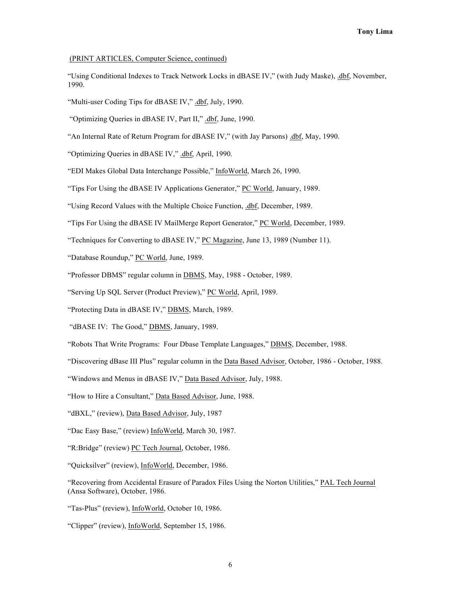#### (PRINT ARTICLES, Computer Science, continued)

"Using Conditional Indexes to Track Network Locks in dBASE IV," (with Judy Maske), .dbf, November, 1990.

"Multi-user Coding Tips for dBASE IV," .dbf, July, 1990.

"Optimizing Queries in dBASE IV, Part II," .dbf, June, 1990.

"An Internal Rate of Return Program for dBASE IV," (with Jay Parsons) .dbf, May, 1990.

"Optimizing Queries in dBASE IV," .dbf, April, 1990.

"EDI Makes Global Data Interchange Possible," InfoWorld, March 26, 1990.

"Tips For Using the dBASE IV Applications Generator," PC World, January, 1989.

"Using Record Values with the Multiple Choice Function, .dbf, December, 1989.

"Tips For Using the dBASE IV MailMerge Report Generator," PC World, December, 1989.

"Techniques for Converting to dBASE IV," PC Magazine, June 13, 1989 (Number 11).

"Database Roundup," PC World, June, 1989.

"Professor DBMS" regular column in DBMS, May, 1988 - October, 1989.

"Serving Up SQL Server (Product Preview)," PC World, April, 1989.

"Protecting Data in dBASE IV," DBMS, March, 1989.

"dBASE IV: The Good," DBMS, January, 1989.

"Robots That Write Programs: Four Dbase Template Languages," DBMS, December, 1988.

"Discovering dBase III Plus" regular column in the Data Based Advisor, October, 1986 - October, 1988.

"Windows and Menus in dBASE IV," Data Based Advisor, July, 1988.

"How to Hire a Consultant," Data Based Advisor, June, 1988.

"dBXL," (review), Data Based Advisor, July, 1987

"Dac Easy Base," (review) InfoWorld, March 30, 1987.

"R:Bridge" (review) PC Tech Journal, October, 1986.

"Quicksilver" (review), InfoWorld, December, 1986.

"Recovering from Accidental Erasure of Paradox Files Using the Norton Utilities," PAL Tech Journal (Ansa Software), October, 1986.

"Tas-Plus" (review), InfoWorld, October 10, 1986.

"Clipper" (review), InfoWorld, September 15, 1986.

6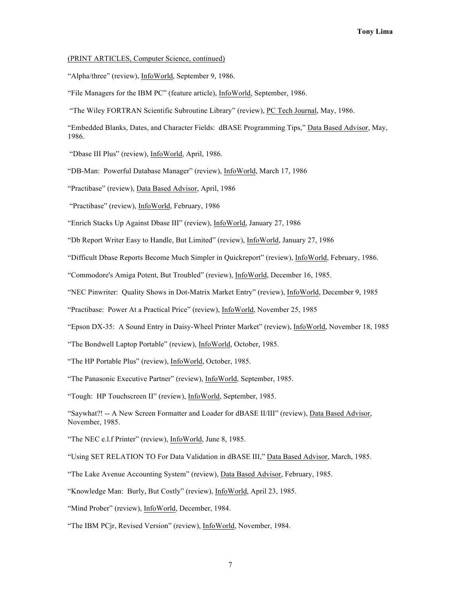### (PRINT ARTICLES, Computer Science, continued)

"Alpha/three" (review), InfoWorld, September 9, 1986.

"File Managers for the IBM PC" (feature article), InfoWorld, September, 1986.

"The Wiley FORTRAN Scientific Subroutine Library" (review), PC Tech Journal, May, 1986.

"Embedded Blanks, Dates, and Character Fields: dBASE Programming Tips," Data Based Advisor, May, 1986.

"Dbase III Plus" (review), InfoWorld, April, 1986.

"DB-Man: Powerful Database Manager" (review), InfoWorld, March 17, 1986

"Practibase" (review), Data Based Advisor, April, 1986

"Practibase" (review), InfoWorld, February, 1986

"Enrich Stacks Up Against Dbase III" (review), InfoWorld, January 27, 1986

"Db Report Writer Easy to Handle, But Limited" (review), InfoWorld, January 27, 1986

"Difficult Dbase Reports Become Much Simpler in Quickreport" (review), InfoWorld, February, 1986.

"Commodore's Amiga Potent, But Troubled" (review), InfoWorld, December 16, 1985.

"NEC Pinwriter: Quality Shows in Dot-Matrix Market Entry" (review), InfoWorld, December 9, 1985

"Practibase: Power At a Practical Price" (review), InfoWorld, November 25, 1985

"Epson DX-35: A Sound Entry in Daisy-Wheel Printer Market" (review), InfoWorld, November 18, 1985

"The Bondwell Laptop Portable" (review), InfoWorld, October, 1985.

"The HP Portable Plus" (review), InfoWorld, October, 1985.

"The Panasonic Executive Partner" (review), InfoWorld, September, 1985.

"Tough: HP Touchscreen II" (review), InfoWorld, September, 1985.

"Saywhat?! -- A New Screen Formatter and Loader for dBASE II/III" (review), Data Based Advisor, November, 1985.

"The NEC e.l.f Printer" (review), InfoWorld, June 8, 1985.

"Using SET RELATION TO For Data Validation in dBASE III," Data Based Advisor, March, 1985.

"The Lake Avenue Accounting System" (review), Data Based Advisor, February, 1985.

"Knowledge Man: Burly, But Costly" (review), InfoWorld, April 23, 1985.

"Mind Prober" (review), InfoWorld, December, 1984.

"The IBM PCjr, Revised Version" (review), InfoWorld, November, 1984.

7